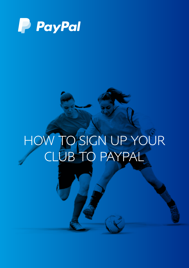

# HOW TO SIGN UP YOUR CLUB TO PAYPAL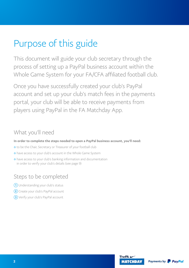# Purpose of this guide

This document will guide your club secretary through the process of setting up a PayPal business account within the Whole Game System for your FA/CFA affiliated football club.

Once you have successfully created your club's PayPal account and set up your club's match fees in the payments portal, your club will be able to receive payments from players using PayPal in the FA Matchday App.

# What you'll need

In order to complete the steps needed to open a PayPal business account, you'll need:

- to be the Chair, Secretary or Treasurer of your football club
- have access to your club's account in the Whole Game System
- $\triangle$  have access to your club's banking information and documentation in order to verify your club's details (see page 9)

# Steps to be completed

- 1 Understanding your club's status
- <sup>2</sup> Create your club's PayPal account
- 3 Verify your club's PayPal account

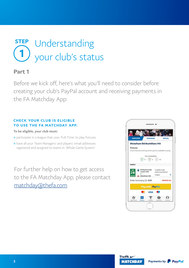

Before we kick off, here's what you'll need to consider before creating your club's PayPal account and receiving payments in the FA Matchday App:

#### CHECK YOUR CLUB IS ELIGIBLE TO USE THE FA MATCHDAY APP.

#### To be eligible, your club must:

- participate in a league that uses 'Full-Time' to play fixtures
- have all your Team Managers' and players' email addresses registered and assigned to teams in 'Whole Game System'

For further help on how to get access to the FA Matchday App, please contact [matchday@thefa.com](http://matchday@thefa.com)



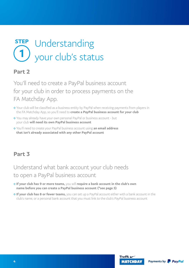

You'll need to create a PayPal business account for your club in order to process payments on the FA Matchday App.

- Your club will be classified as a business entity by PayPal when receiving payments from players in the FA Matchday App, so you'll need to create a PayPal business account for your club
- You may already have your own personal PayPal or business account but your club will need its own PayPal business account
- ◆ You'll need to create your PayPal business account using an email address that isn't already associated with any other PayPal account

## Part 3

# Understand what bank account your club needs to open a PayPal business account

- $\lozenge$  If your club has 9 or more teams, you will require a bank account in the club's own name before you can create a PayPal business account (\*see page 5)
- ◆ If your club has 8 or fewer teams, you can set up a PayPal account either with a bank account in the club's name, or a personal bank account that you must link to the club's PayPal business account

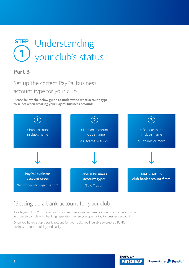

# Set up the correct PayPal business account type for your club.

Please follow the below guide to understand what account type to select when creating your PayPal business account:



# \*Setting up a bank account for your club

As a large club of 9 or more teams, you require a verified bank account in your club's name in order to comply with banking regulations when you open a PayPal business account.

Once you have set up a bank account for your club, you'll be able to create a PayPal business account quickly and easily.



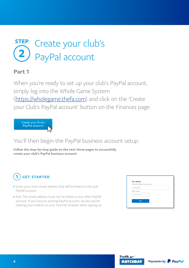

When you're ready to set up your club's PayPal account, simply log into the Whole Game System ([https://wholegame.thefa.com\)](https://wholegame.thefa.com) and click on the 'Create your Club's PayPal account' button on the Finances page.



# You'll then begin the PayPal business account setup.

Follow the step-by-step guide on the next three pages to successfully create your club's PayPal business account:

#### GET STARTED 1

- Enter your club's email address that will be linked to the club PayPal account
- N.B. This email address must not be linked to any other PayPal account. If you have an existing PayPal account, we also advise clearing your cookies on your internet browser when signing up

| Fater an email address to sign up or log in |              |  |
|---------------------------------------------|--------------|--|
| Email address                               |              |  |
| Select a country                            |              |  |
| United Kingdom                              | $\checkmark$ |  |
| Next                                        |              |  |



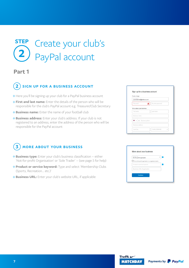## **STEP** 2 Create your club's PayPal account

## Part 1

## 2) SIGN UP FOR A BUSINESS ACCOUNT

- Here you'll be signing up your club for a PayPal business account
- $\triangle$  First and last name: Enter the details of the person who will be responsible for the club's PayPal account e.g. Treasurer/Club Secretary
- $\triangle$  Business name: Enter the name of your football club
- **Eusiness address:** Enter your club's address. If your club is not registered to an address, enter the address of the person who will be responsible for the PayPal account

# **3**) MORE ABOUT YOUR BUSINESS

- $\triangle$  Business type: Enter your club's business classification either 'Not-for-profit Organisation' or 'Sole Trader' – (see page 5 for help)
- **Eroduct or service keyword:** Type and select 'Membership Clubs (Sports, Recreation… etc.)'
- **↑ Business URL:** Enter your club's website URL, if applicable

| Create a login                                    |                   |  |  |  |
|---------------------------------------------------|-------------------|--|--|--|
| <b>Email address</b><br>yourclubemail@address.com |                   |  |  |  |
| Password                                          | Re-enter password |  |  |  |
| Business name                                     |                   |  |  |  |
| W v +44 Business phone                            |                   |  |  |  |
| Business address                                  |                   |  |  |  |

| This not-for-profit organisation is a registered charity | Business Type<br>Not-for-profit organisation |  |
|----------------------------------------------------------|----------------------------------------------|--|
|                                                          |                                              |  |
|                                                          | Product or service keyword                   |  |
|                                                          | Business URL (if applicable)                 |  |



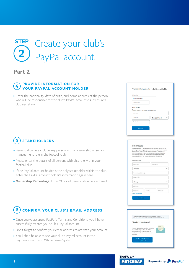

### PROVIDE INFORMATION FOR 4) FROUDE INFORMATION FOR YOUR PAYPAL ACCOUNT HOLDER

 $\triangle$  Enter the nationality, date of birth, and home address of the person who will be responsible for the club's PayPal account e.g. treasurer/ club secretary

## 5) STAKEHOLDERS

- $\triangle$  Beneficial owners include any person with an ownership or senior management role in the football club
- $\triangle$  Please enter the details of all persons with this role within your football club
- $\triangle$  If the PayPal account holder is the only stakeholder within the club, enter the PayPal account holder's information again here
- Ownership Percentage: Enter '0' for all beneficial owners entered

# **6**) CONFIRM YOUR CLUB'S EMAIL ADDRESS

- Once you've accepted PayPal's Terms and Conditions, you'll have successfully created your club's PayPal account
- Don't forget to confirm your email address to activate your account
- You'll then be able to see your club's PayPal account in the payments section in Whole Game System

| <b>United Kingdom</b>       | $\checkmark$                      |
|-----------------------------|-----------------------------------|
| Date of birth               |                                   |
|                             |                                   |
|                             |                                   |
| Address<br><b>Town/City</b> | $\checkmark$<br>County (Optional) |
| Postcode                    |                                   |

#### Stakeholders

al Owner is the natural person who ultimately owns of<br>through voting rights) the business. Please provide this<br>cial Owners, including anyone ouning more than 25%<br>interests in the business. If your business has no Be<br>please

| First name           |        | Last name |              |
|----------------------|--------|-----------|--------------|
| Nationality          |        |           | $\sim$       |
| Ownership percentage |        |           |              |
| Date of birth        |        |           |              |
| Country              |        |           | $\checkmark$ |
| Address              |        |           |              |
| Postcode             | County | Town/City |              |
| + Add another owner  |        |           |              |
| Continue             |        |           |              |



Payments by **P** PayPal

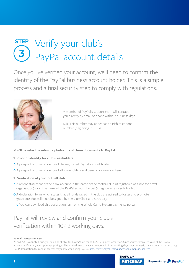# STEP Verify your club's 3 PayPal account details

Once you've verified your account, we'll need to confirm the identity of the PayPal business account holder. This is a simple process and a final security step to comply with regulations.



A member of PayPal's support team will contact you directly by email or phone within 7 business days.

N.B. This number may appear as an Irish telephone number (beginning in +353)

#### You'll be asked to submit a photocopy of these documents to PayPal:

#### 1. Proof of identity for club stakeholders

- A passport or drivers' licence of the registered PayPal account holder
- A passport or drivers' licence of all stakeholders and beneficial owners entered

#### 2. Verification of your football club:

- A recent statement of the bank account in the name of the football club (if registered as a not-for-profit organisation), or in the name of the PayPal account holder (if registered as a sole trader)
- $\triangle$  A declaration form which states that all funds raised in the club are utilised to foster and promote grassroots football must be signed by the Club Chair and Secretary
	- You can download this declaration form on the Whole Game System payments portal

# PayPal will review and confirm your club's verification within 10-12 working days.

#### PayPal Transaction Fees

As an FA/CFA affiliated club, you could be eligible for PayPal's low fee of 1.4% + 20p per transaction. Once you've completed your c lub's PayPal account verification, your approved pricing will be applied to your PayPal account within 14 working days. \*For domestic transactions in the UK using £GBP. Transaction fees and other fees may apply when using PayPal. <https://www.paypal.com/uk/webapps/mpp/paypal-fees>